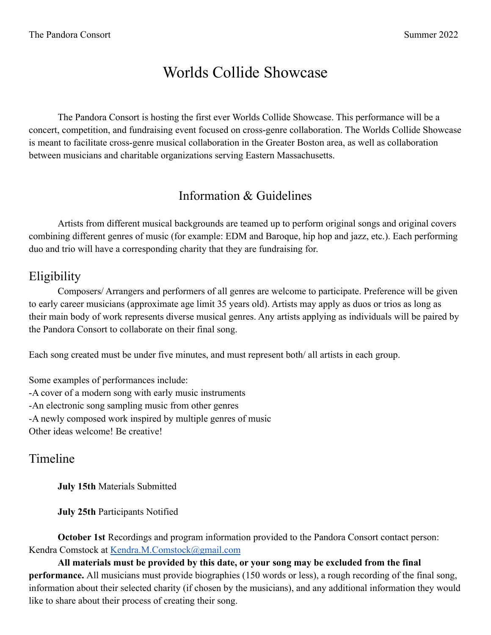# Worlds Collide Showcase

The Pandora Consort is hosting the first ever Worlds Collide Showcase. This performance will be a concert, competition, and fundraising event focused on cross-genre collaboration. The Worlds Collide Showcase is meant to facilitate cross-genre musical collaboration in the Greater Boston area, as well as collaboration between musicians and charitable organizations serving Eastern Massachusetts.

# Information & Guidelines

Artists from different musical backgrounds are teamed up to perform original songs and original covers combining different genres of music (for example: EDM and Baroque, hip hop and jazz, etc.). Each performing duo and trio will have a corresponding charity that they are fundraising for.

# **Eligibility**

Composers/ Arrangers and performers of all genres are welcome to participate. Preference will be given to early career musicians (approximate age limit 35 years old). Artists may apply as duos or trios as long as their main body of work represents diverse musical genres. Any artists applying as individuals will be paired by the Pandora Consort to collaborate on their final song.

Each song created must be under five minutes, and must represent both/ all artists in each group.

Some examples of performances include: -A cover of a modern song with early music instruments -An electronic song sampling music from other genres -A newly composed work inspired by multiple genres of music Other ideas welcome! Be creative!

#### Timeline

**July 15th** Materials Submitted

**July 25th** Participants Notified

**October 1st** Recordings and program information provided to the Pandora Consort contact person: Kendra Comstock at [Kendra.M.Comstock@gmail.com](mailto:Kendra.M.Comstock@gmail.com)

**All materials must be provided by this date, or your song may be excluded from the final performance.** All musicians must provide biographies (150 words or less), a rough recording of the final song, information about their selected charity (if chosen by the musicians), and any additional information they would like to share about their process of creating their song.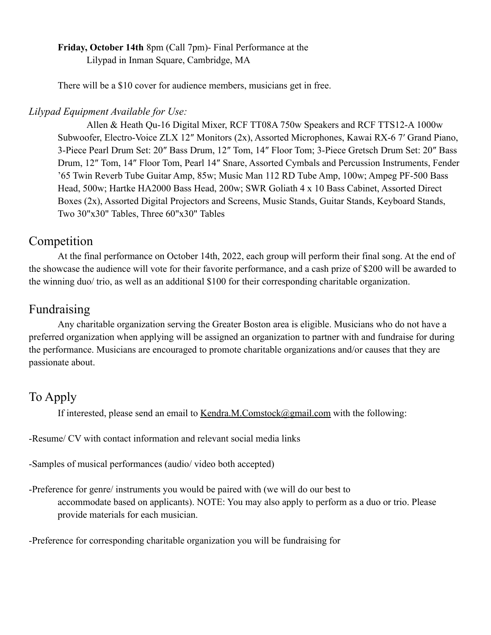**Friday, October 14th** 8pm (Call 7pm)- Final Performance at the Lilypad in Inman Square, Cambridge, MA

There will be a \$10 cover for audience members, musicians get in free.

#### *Lilypad Equipment Available for Use:*

Allen & Heath Qu-16 Digital Mixer, RCF TT08A 750w Speakers and RCF TTS12-A 1000w Subwoofer, Electro-Voice ZLX 12″ Monitors (2x), Assorted Microphones, Kawai RX-6 7′ Grand Piano, 3-Piece Pearl Drum Set: 20″ Bass Drum, 12″ Tom, 14″ Floor Tom; 3-Piece Gretsch Drum Set: 20″ Bass Drum, 12″ Tom, 14″ Floor Tom, Pearl 14″ Snare, Assorted Cymbals and Percussion Instruments, Fender '65 Twin Reverb Tube Guitar Amp, 85w; Music Man 112 RD Tube Amp, 100w; Ampeg PF-500 Bass Head, 500w; Hartke HA2000 Bass Head, 200w; SWR Goliath 4 x 10 Bass Cabinet, Assorted Direct Boxes (2x), Assorted Digital Projectors and Screens, Music Stands, Guitar Stands, Keyboard Stands, Two 30"x30" Tables, Three 60"x30" Tables

#### Competition

At the final performance on October 14th, 2022, each group will perform their final song. At the end of the showcase the audience will vote for their favorite performance, and a cash prize of \$200 will be awarded to the winning duo/ trio, as well as an additional \$100 for their corresponding charitable organization.

## Fundraising

Any charitable organization serving the Greater Boston area is eligible. Musicians who do not have a preferred organization when applying will be assigned an organization to partner with and fundraise for during the performance. Musicians are encouraged to promote charitable organizations and/or causes that they are passionate about.

# To Apply

If interested, please send an email to [Kendra.M.Comstock@gmail.com](mailto:Kendra.M.Comstock@gmail.com) with the following:

-Resume/ CV with contact information and relevant social media links

-Samples of musical performances (audio/ video both accepted)

-Preference for genre/ instruments you would be paired with (we will do our best to accommodate based on applicants). NOTE: You may also apply to perform as a duo or trio. Please provide materials for each musician.

-Preference for corresponding charitable organization you will be fundraising for